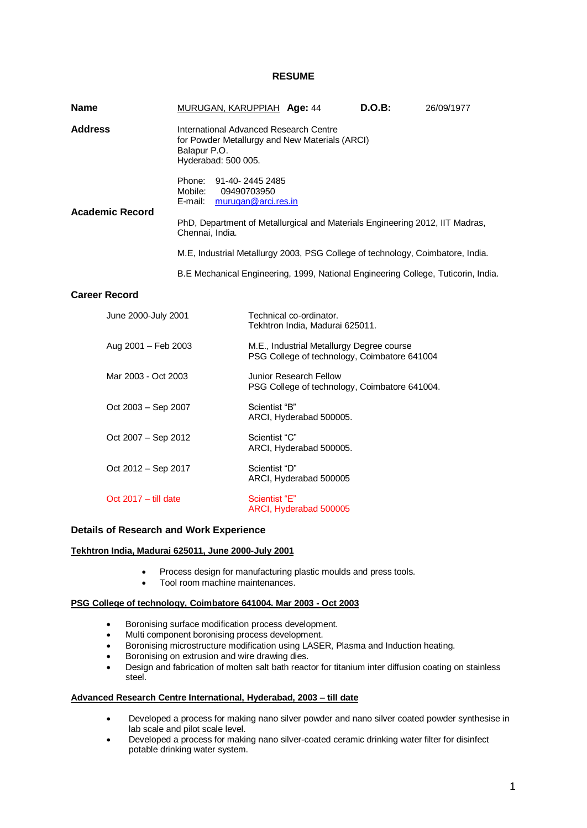# **RESUME**

| <b>Name</b>            | MURUGAN, KARUPPIAH Age: 44                                                                                                      |                                                                                           |  | <b>D.O.B:</b> | 26/09/1977 |  |  |  |
|------------------------|---------------------------------------------------------------------------------------------------------------------------------|-------------------------------------------------------------------------------------------|--|---------------|------------|--|--|--|
| <b>Address</b>         | International Advanced Research Centre<br>for Powder Metallurgy and New Materials (ARCI)<br>Balapur P.O.<br>Hyderabad: 500 005. |                                                                                           |  |               |            |  |  |  |
| <b>Academic Record</b> | Phone:<br>91-40-24452485<br>Mobile:<br>09490703950<br>E-mail: murugan@arci.res.in                                               |                                                                                           |  |               |            |  |  |  |
|                        | PhD, Department of Metallurgical and Materials Engineering 2012, IIT Madras,<br>Chennai, India.                                 |                                                                                           |  |               |            |  |  |  |
|                        | M.E, Industrial Metallurgy 2003, PSG College of technology, Coimbatore, India.                                                  |                                                                                           |  |               |            |  |  |  |
|                        | B.E Mechanical Engineering, 1999, National Engineering College, Tuticorin, India.                                               |                                                                                           |  |               |            |  |  |  |
| <b>Career Record</b>   |                                                                                                                                 |                                                                                           |  |               |            |  |  |  |
| June 2000-July 2001    |                                                                                                                                 | Technical co-ordinator.<br>Tekhtron India, Madurai 625011.                                |  |               |            |  |  |  |
| Aug 2001 - Feb 2003    |                                                                                                                                 | M.E., Industrial Metallurgy Degree course<br>PSG College of technology, Coimbatore 641004 |  |               |            |  |  |  |
| Mar 2003 - Oct 2003    |                                                                                                                                 | Junior Research Fellow<br>PSG College of technology, Coimbatore 641004.                   |  |               |            |  |  |  |
| Oct 2003 - Sep 2007    |                                                                                                                                 | Scientist "B"<br>ARCI, Hyderabad 500005.                                                  |  |               |            |  |  |  |
| Oct 2007 - Sep 2012    |                                                                                                                                 | Scientist "C"<br>ARCI, Hyderabad 500005.                                                  |  |               |            |  |  |  |

Oct 2012 – Sep 2017 Scientist "D" ARCI, Hyderabad 500005

Oct 2017 – till date Scientist "E" ARCI, Hyderabad 500005

# **Details of Research and Work Experience**

#### **Tekhtron India, Madurai 625011, June 2000-July 2001**

- Process design for manufacturing plastic moulds and press tools.
- Tool room machine maintenances.

#### **PSG College of technology, Coimbatore 641004. Mar 2003 - Oct 2003**

- Boronising surface modification process development.
- Multi component boronising process development.
- Boronising microstructure modification using LASER, Plasma and Induction heating.
- Boronising on extrusion and wire drawing dies.
- Design and fabrication of molten salt bath reactor for titanium inter diffusion coating on stainless steel.

#### **Advanced Research Centre International, Hyderabad, 2003 – till date**

- Developed a process for making nano silver powder and nano silver coated powder synthesise in lab scale and pilot scale level.
- Developed a process for making nano silver-coated ceramic drinking water filter for disinfect potable drinking water system.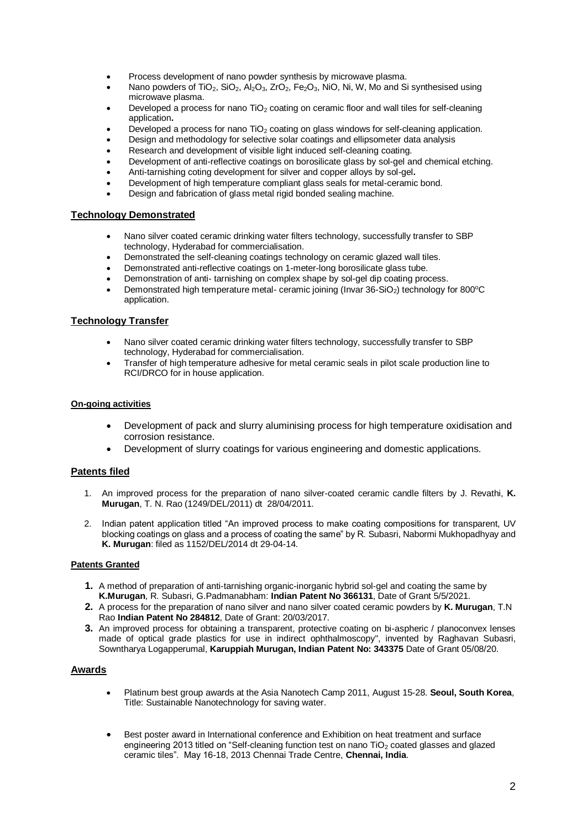- Process development of nano powder synthesis by microwave plasma.
- Nano powders of TiO<sub>2</sub>, SiO<sub>2</sub>, Al<sub>2</sub>O<sub>3</sub>, ZrO<sub>2</sub>, Fe<sub>2</sub>O<sub>3</sub>, NiO, Ni, W, Mo and Si synthesised using microwave plasma.
- Developed a process for nano  $TiO<sub>2</sub>$  coating on ceramic floor and wall tiles for self-cleaning application**.**
- Developed a process for nano  $TiO<sub>2</sub>$  coating on glass windows for self-cleaning application.
- Design and methodology for selective solar coatings and ellipsometer data analysis
- Research and development of visible light induced self-cleaning coating.
- Development of anti-reflective coatings on borosilicate glass by sol-gel and chemical etching.
- Anti-tarnishing coting development for silver and copper alloys by sol-gel**.**
- Development of high temperature compliant glass seals for metal-ceramic bond.
- Design and fabrication of glass metal rigid bonded sealing machine.

# **Technology Demonstrated**

- Nano silver coated ceramic drinking water filters technology, successfully transfer to SBP technology, Hyderabad for commercialisation.
- Demonstrated the self-cleaning coatings technology on ceramic glazed wall tiles.
- Demonstrated anti-reflective coatings on 1-meter-long borosilicate glass tube.
- Demonstration of anti- tarnishing on complex shape by sol-gel dip coating process.
- Demonstrated high temperature metal- ceramic joining (Invar  $36-\text{SiO}_2$ ) technology for  $800^{\circ}\text{C}$ application.

# **Technology Transfer**

- Nano silver coated ceramic drinking water filters technology, successfully transfer to SBP technology, Hyderabad for commercialisation.
- Transfer of high temperature adhesive for metal ceramic seals in pilot scale production line to RCI/DRCO for in house application.

#### **On-going activities**

- Development of pack and slurry aluminising process for high temperature oxidisation and corrosion resistance.
- Development of slurry coatings for various engineering and domestic applications.

# **Patents filed**

- 1. An improved process for the preparation of nano silver-coated ceramic candle filters by J. Revathi, **K. Murugan**, T. N. Rao (1249/DEL/2011) dt 28/04/2011.
- 2. Indian patent application titled "An improved process to make coating compositions for transparent, UV blocking coatings on glass and a process of coating the same" by R. Subasri, Nabormi Mukhopadhyay and **K. Murugan**: filed as 1152/DEL/2014 dt 29-04-14.

# **Patents Granted**

- **1.** A method of preparation of anti-tarnishing organic-inorganic hybrid sol-gel and coating the same by **K.Murugan**, R. Subasri, G.Padmanabham: **Indian Patent No 366131**, Date of Grant 5/5/2021.
- **2.** A process for the preparation of nano silver and nano silver coated ceramic powders by **K. Murugan**, T.N Rao **Indian Patent No 284812**, Date of Grant: 20/03/2017.
- **3.** An improved process for obtaining a transparent, protective coating on bi-aspheric / planoconvex lenses made of optical grade plastics for use in indirect ophthalmoscopy", invented by Raghavan Subasri, Sowntharya Logapperumal, **Karuppiah Murugan, Indian Patent No: 343375** Date of Grant 05/08/20.

# **Awards**

- Platinum best group awards at the Asia Nanotech Camp 2011, August 15-28. **Seoul, South Korea**, Title: Sustainable Nanotechnology for saving water.
- Best poster award in International conference and Exhibition on heat treatment and surface engineering 2013 titled on "Self-cleaning function test on nano TiO<sub>2</sub> coated glasses and glazed ceramic tiles". May 16-18, 2013 Chennai Trade Centre, **Chennai, India**.